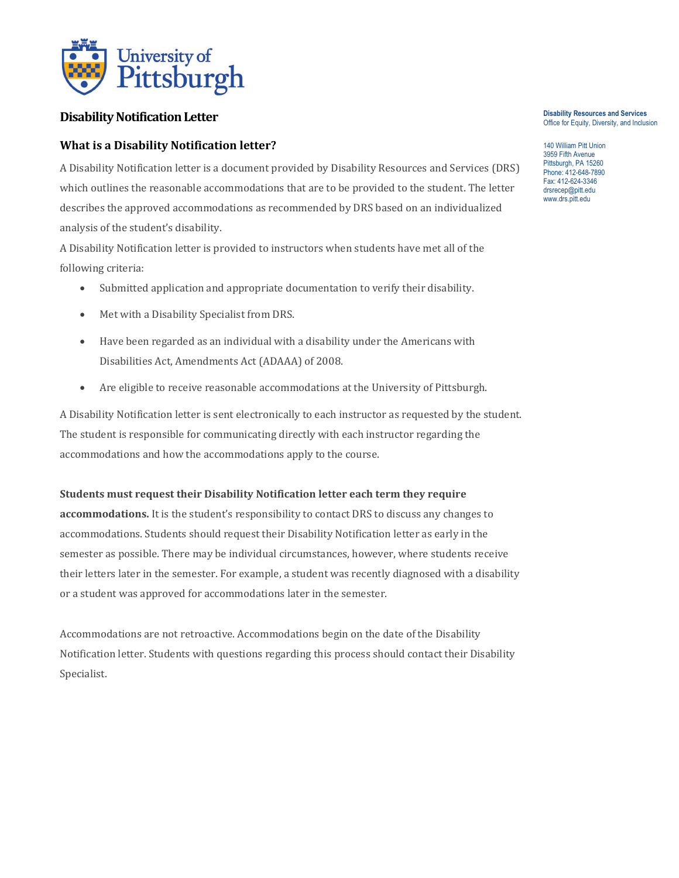

# **Disability Notification Letter**

## **What is a Disability Notification letter?**

A Disability Notification letter is a document provided by Disability Resources and Services (DRS) which outlines the reasonable accommodations that are to be provided to the student. The letter describes the approved accommodations as recommended by DRS based on an individualized analysis of the student's disability.

A Disability Notification letter is provided to instructors when students have met all of the following criteria:

- Submitted application and appropriate documentation to verify their disability.
- Met with a Disability Specialist from DRS.
- Have been regarded as an individual with a disability under the Americans with Disabilities Act, Amendments Act (ADAAA) of 2008.
- Are eligible to receive reasonable accommodations at the University of Pittsburgh.

A Disability Notification letter is sent electronically to each instructor as requested by the student. The student is responsible for communicating directly with each instructor regarding the accommodations and how the accommodations apply to the course.

### **Students must request their Disability Notification letter each term they require**

**accommodations.** It is the student's responsibility to contact DRS to discuss any changes to accommodations. Students should request their Disability Notification letter as early in the semester as possible. There may be individual circumstances, however, where students receive their letters later in the semester. For example, a student was recently diagnosed with a disability or a student was approved for accommodations later in the semester.

Accommodations are not retroactive. Accommodations begin on the date of the Disability Notification letter. Students with questions regarding this process should contact their Disability Specialist.

#### **Disability Resources and Services** Office for Equity, Diversity, and Inclusion

140 William Pitt Union 3959 Fifth Avenue Pittsburgh, PA 15260 Phone: 412-648-7890 Fax: 412-624-3346 drsrecep@pitt.edu www.drs.pitt.edu